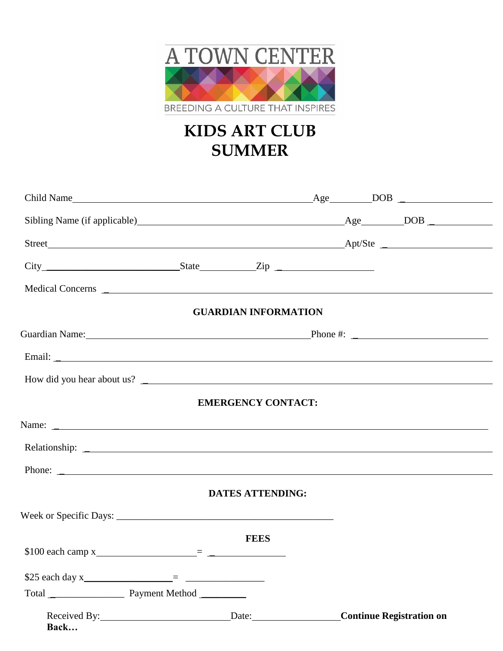

## **KIDS ART CLUB SUMMER**

|                         | <b>GUARDIAN INFORMATION</b> |  |                                 |
|-------------------------|-----------------------------|--|---------------------------------|
| Guardian Name: Phone #: |                             |  |                                 |
|                         |                             |  |                                 |
|                         |                             |  |                                 |
|                         | <b>EMERGENCY CONTACT:</b>   |  |                                 |
| Name: $\frac{1}{2}$     |                             |  |                                 |
|                         |                             |  |                                 |
|                         |                             |  |                                 |
|                         | <b>DATES ATTENDING:</b>     |  |                                 |
|                         |                             |  |                                 |
|                         | <b>FEES</b>                 |  |                                 |
|                         |                             |  |                                 |
|                         |                             |  |                                 |
|                         |                             |  |                                 |
| Back                    |                             |  | <b>Continue Registration on</b> |